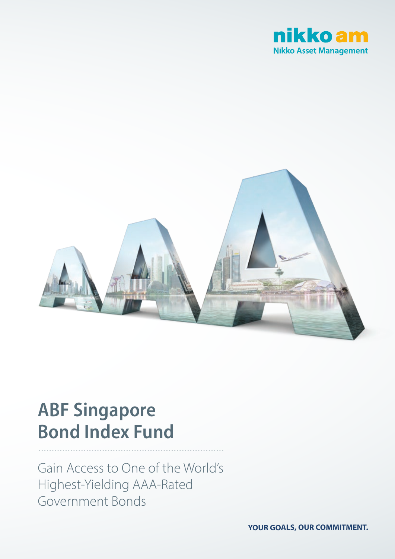



# **ABF Singapore Bond Index Fund**

Gain Access to One of the World's Highest-Yielding AAA-Rated Government Bonds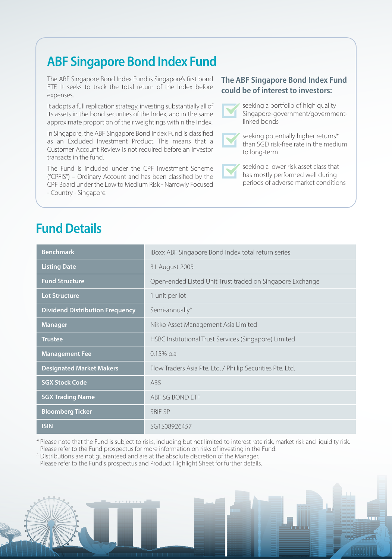# **ABF Singapore Bond Index Fund**

The ABF Singapore Bond Index Fund is Singapore's first bond ETF. It seeks to track the total return of the Index before expenses.

It adopts a full replication strategy, investing substantially all of its assets in the bond securities of the Index, and in the same approximate proportion of their weightings within the Index.

In Singapore, the ABF Singapore Bond Index Fund is classified as an Excluded Investment Product. This means that a Customer Account Review is not required before an investor transacts in the fund.

The Fund is included under the CPF Investment Scheme ("CPFIS") – Ordinary Account and has been classified by the CPF Board under the Low to Medium Risk - Narrowly Focused - Country - Singapore.

### **Fund Details**

| <b>Benchmark</b>                       | iBoxx ABF Singapore Bond Index total return series         |  |  |
|----------------------------------------|------------------------------------------------------------|--|--|
| <b>Listing Date</b>                    | 31 August 2005                                             |  |  |
| <b>Fund Structure</b>                  | Open-ended Listed Unit Trust traded on Singapore Exchange  |  |  |
| <b>Lot Structure</b>                   | 1 unit per lot                                             |  |  |
| <b>Dividend Distribution Frequency</b> | Semi-annually <sup>^</sup>                                 |  |  |
| <b>Manager</b>                         | Nikko Asset Management Asia Limited                        |  |  |
| <b>Trustee</b>                         | HSBC Institutional Trust Services (Singapore) Limited      |  |  |
| <b>Management Fee</b>                  | $0.15%$ p.a                                                |  |  |
| <b>Designated Market Makers</b>        | Flow Traders Asia Pte. Ltd. / Phillip Securities Pte. Ltd. |  |  |
| <b>SGX Stock Code</b>                  | A35                                                        |  |  |
| <b>SGX Trading Name</b>                | ABF SG BOND ETF                                            |  |  |
| <b>Bloomberg Ticker</b>                | <b>SBIF SP</b>                                             |  |  |
| <b>ISIN</b>                            | SG1S08926457                                               |  |  |

\* Please note that the Fund is subject to risks, including but not limited to interest rate risk, market risk and liquidity risk. Please refer to the Fund prospectus for more information on risks of investing in the Fund.

^ Distributions are not guaranteed and are at the absolute discretion of the Manager. Please refer to the Fund's prospectus and Product Highlight Sheet for further details.

#### **The ABF Singapore Bond Index Fund could be of interest to investors:**



seeking a portfolio of high quality Singapore-government/governmentlinked bonds

seeking potentially higher returns\* than SGD risk-free rate in the medium to long-term

seeking a lower risk asset class that has mostly performed well during periods of adverse market conditions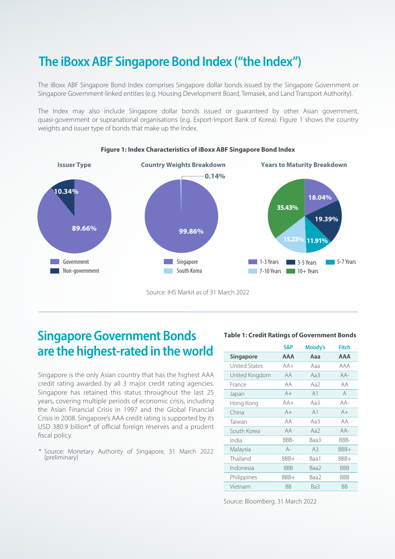# **The iBoxx ABF Singapore Bond Index ("the Index")**

The iBoxx ABF Singapore Bond Index comprises Singapore dollar bonds issued by the Singapore Government or Singapore Government-linked entities (e.g. Housing Development Board, Temasek, and Land Transport Authority).

The Index may also include Singapore dollar bonds issued or guaranteed by other Asian government, quasi-government or supranational organisations (e.g. Export-Import Bank of Korea). Figure 1 shows the country weights and issuer type of bonds that make up the Index.



#### **Figure 1: Index Characteristics of iBoxx ABF Singapore Bond Index**

Source: IHS Markit as of 31 March 2022

#### **Singapore Government Bonds are the highest-rated in the world**

Singapore is the only Asian country that has the highest AAA credit rating awarded by all 3 major credit rating agencies. Singapore has retained this status throughout the last 25 years, covering multiple periods of economic crisis, including the Asian Financial Crisis in 1997 and the Global Financial Crisis in 2008. Singapore's AAA credit rating is supported by its USD 380.9 billion\* of official foreign reserves and a prudent fiscal policy.

\* Source: Monetary Authority of Singapore, 31 March 2022 (preliminary)

#### **Table 1: Credit Ratings of Government Bonds**

|                      | S&P        | Moody's        | <b>Fitch</b> |
|----------------------|------------|----------------|--------------|
| <b>Singapore</b>     | AAA        | Aaa            | AAA          |
| <b>United States</b> | $AA+$      | Aaa            | AAA          |
| United Kingdom       | AA         | Aa3            | $AA-$        |
| France               | AA         | Aa2            | AA           |
| Japan                | $A+$       | A1             | A            |
| Hong Kong            | $AA+$      | Aa3            | $AA-$        |
| China                | $A+$       | A <sub>1</sub> | $A+$         |
| Taiwan               | AA         | Aa3            | AA           |
| South Korea          | АA         | Aa2            | $AA-$        |
| India                | BBB-       | Baa3           | BBB-         |
| Malaysia             | $A -$      | A <sub>3</sub> | BBB+         |
| Thailand             | BBB+       | Baa1           | BBB+         |
| Indonesia            | <b>BBB</b> | Baa2           | <b>BBB</b>   |
| Philippines          | BBB+       | Baa2           | BBB          |
| Vietnam              | ΒB         | Ba3            | ВB           |

Source: Bloomberg. 31 March 2022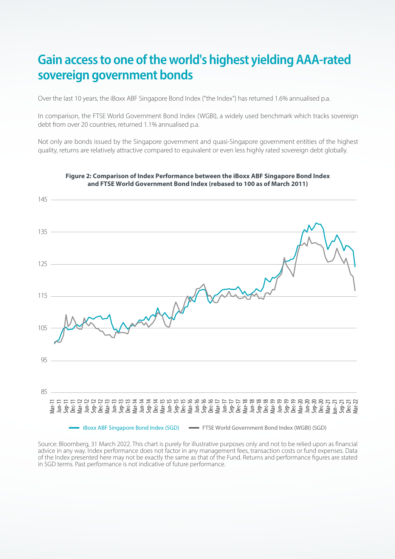# **Gain access to one of the world's highest yielding AAA-rated sovereign government bonds**

Over the last 10 years, the iBoxx ABF Singapore Bond Index ("the Index") has returned 1.6% annualised p.a.

In comparison, the FTSE World Government Bond Index (WGBI), a widely used benchmark which tracks sovereign debt from over 20 countries, returned 1.1% annualised p.a.

Not only are bonds issued by the Singapore government and quasi-Singapore government entities of the highest quality, returns are relatively attractive compared to equivalent or even less highly rated sovereign debt globally.



#### **Figure 2: Comparison of Index Performance between the iBoxx ABF Singapore Bond Index and FTSE World Government Bond Index (rebased to 100 as of March 2011)**

Source: Bloomberg, 31 March 2022. This chart is purely for illustrative purposes only and not to be relied upon as financial advice in any way. Index performance does not factor in any management fees, transaction costs or fund expenses. Data of the Index presented here may not be exactly the same as that of the Fund. Returns and performance figures are stated in SGD terms. Past performance is not indicative of future performance.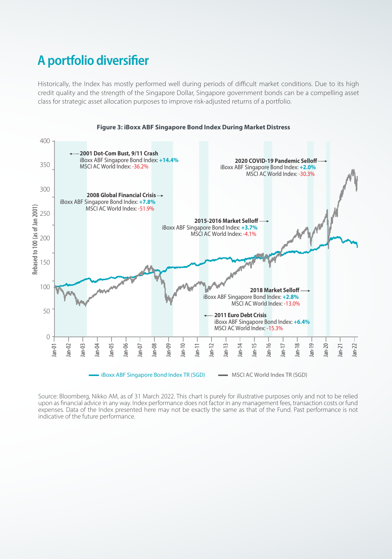# **A portfolio diversifier**

Historically, the Index has mostly performed well during periods of difficult market conditions. Due to its high credit quality and the strength of the Singapore Dollar, Singapore government bonds can be a compelling asset class for strategic asset allocation purposes to improve risk-adjusted returns of a portfolio.



Source: Bloomberg, Nikko AM, as of 31 March 2022. This chart is purely for illustrative purposes only and not to be relied upon as financial advice in any way. Index performance does not factor in any management fees, transaction costs or fund expenses. Data of the Index presented here may not be exactly the same as that of the Fund. Past performance is not indicative of the future performance.